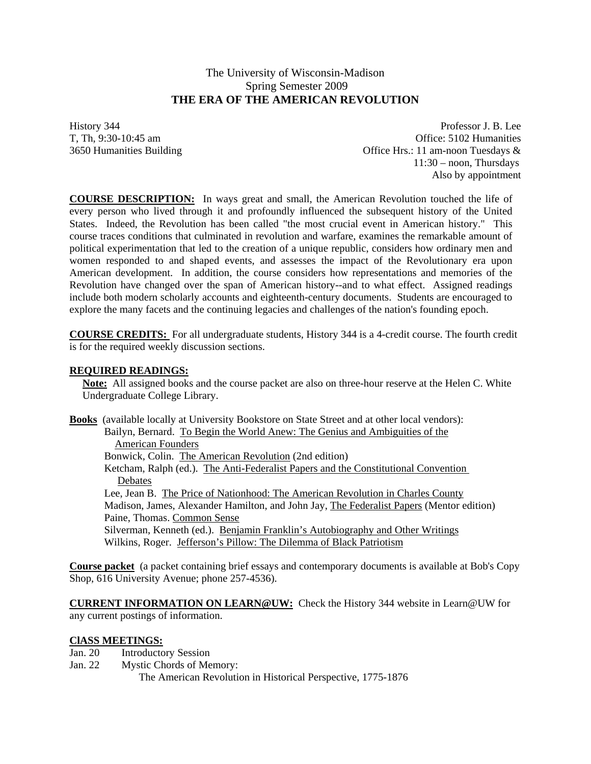# The University of Wisconsin-Madison Spring Semester 2009 **THE ERA OF THE AMERICAN REVOLUTION**

History 344 Professor J. B. Lee T, Th, 9:30-10:45 am Office: 5102 Humanities 3650 Humanities Building Office Hrs.: 11 am-noon Tuesdays & 11:30 – noon, Thursdays Also by appointment

**COURSE DESCRIPTION:** In ways great and small, the American Revolution touched the life of every person who lived through it and profoundly influenced the subsequent history of the United States. Indeed, the Revolution has been called "the most crucial event in American history." This course traces conditions that culminated in revolution and warfare, examines the remarkable amount of political experimentation that led to the creation of a unique republic, considers how ordinary men and women responded to and shaped events, and assesses the impact of the Revolutionary era upon American development. In addition, the course considers how representations and memories of the Revolution have changed over the span of American history--and to what effect. Assigned readings include both modern scholarly accounts and eighteenth-century documents. Students are encouraged to explore the many facets and the continuing legacies and challenges of the nation's founding epoch.

**COURSE CREDITS:** For all undergraduate students, History 344 is a 4-credit course. The fourth credit is for the required weekly discussion sections.

# **REQUIRED READINGS:**

**Note:** All assigned books and the course packet are also on three-hour reserve at the Helen C. White Undergraduate College Library.

**Books** (available locally at University Bookstore on State Street and at other local vendors): Bailyn, Bernard. To Begin the World Anew: The Genius and Ambiguities of the American Founders Bonwick, Colin. The American Revolution (2nd edition) Ketcham, Ralph (ed.). The Anti-Federalist Papers and the Constitutional Convention **Debates**  Lee, Jean B. The Price of Nationhood: The American Revolution in Charles County Madison, James, Alexander Hamilton, and John Jay, The Federalist Papers (Mentor edition) Paine, Thomas. Common Sense Silverman, Kenneth (ed.). Benjamin Franklin's Autobiography and Other Writings Wilkins, Roger. Jefferson's Pillow: The Dilemma of Black Patriotism

**Course packet** (a packet containing brief essays and contemporary documents is available at Bob's Copy Shop, 616 University Avenue; phone 257-4536).

**CURRENT INFORMATION ON LEARN@UW:** Check the History 344 website in Learn@UW for any current postings of information.

# **ClASS MEETINGS:**

- Jan. 20 Introductory Session
- Jan. 22 Mystic Chords of Memory:

The American Revolution in Historical Perspective, 1775-1876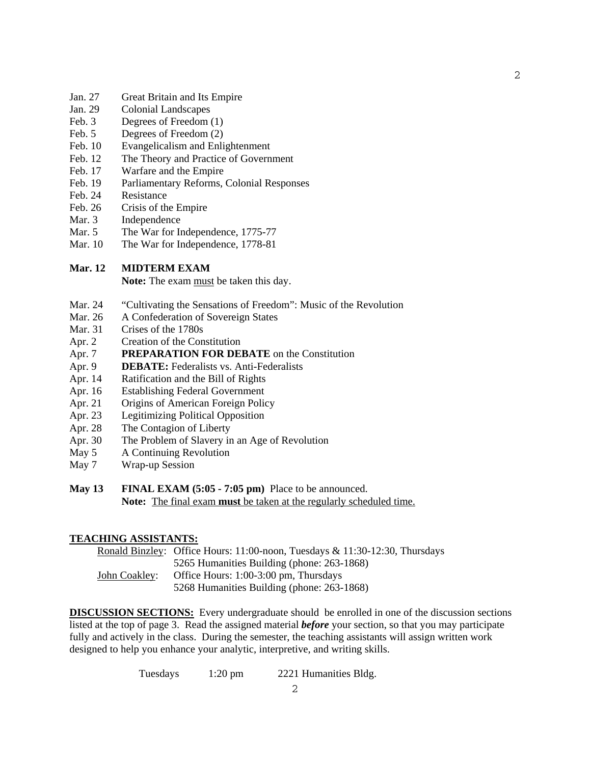- Jan. 27 Great Britain and Its Empire
- Jan. 29 Colonial Landscapes
- Feb. 3 Degrees of Freedom (1)
- Feb. 5 Degrees of Freedom (2)
- Feb. 10 Evangelicalism and Enlightenment
- Feb. 12 The Theory and Practice of Government
- Feb. 17 Warfare and the Empire
- Feb. 19 Parliamentary Reforms, Colonial Responses
- Feb. 24 Resistance
- Feb. 26 Crisis of the Empire
- Mar. 3 Independence
- Mar. 5 The War for Independence, 1775-77
- Mar. 10 The War for Independence, 1778-81

# **Mar. 12 MIDTERM EXAM**

 **Note:** The exam must be taken this day.

- Mar. 24 "Cultivating the Sensations of Freedom": Music of the Revolution
- Mar. 26 A Confederation of Sovereign States
- Mar. 31 Crises of the 1780s
- Apr. 2 Creation of the Constitution
- Apr. 7 **PREPARATION FOR DEBATE** on the Constitution
- Apr. 9 **DEBATE:** Federalists vs. Anti-Federalists
- Apr. 14 Ratification and the Bill of Rights
- Apr. 16 Establishing Federal Government
- Apr. 21 Origins of American Foreign Policy
- Apr. 23 Legitimizing Political Opposition
- Apr. 28 The Contagion of Liberty
- Apr. 30 The Problem of Slavery in an Age of Revolution
- May 5 A Continuing Revolution
- May 7 Wrap-up Session
- **May 13 FINAL EXAM (5:05 7:05 pm)** Place to be announced. **Note:** The final exam **must** be taken at the regularly scheduled time.

### **TEACHING ASSISTANTS:**

Ronald Binzley: Office Hours: 11:00-noon, Tuesdays & 11:30-12:30, Thursdays 5265 Humanities Building (phone: 263-1868) John Coakley: Office Hours: 1:00-3:00 pm, Thursdays 5268 Humanities Building (phone: 263-1868)

**DISCUSSION SECTIONS:** Every undergraduate should be enrolled in one of the discussion sections listed at the top of page 3. Read the assigned material *before* your section, so that you may participate fully and actively in the class. During the semester, the teaching assistants will assign written work designed to help you enhance your analytic, interpretive, and writing skills.

Tuesdays 1:20 pm 2221 Humanities Bldg.

2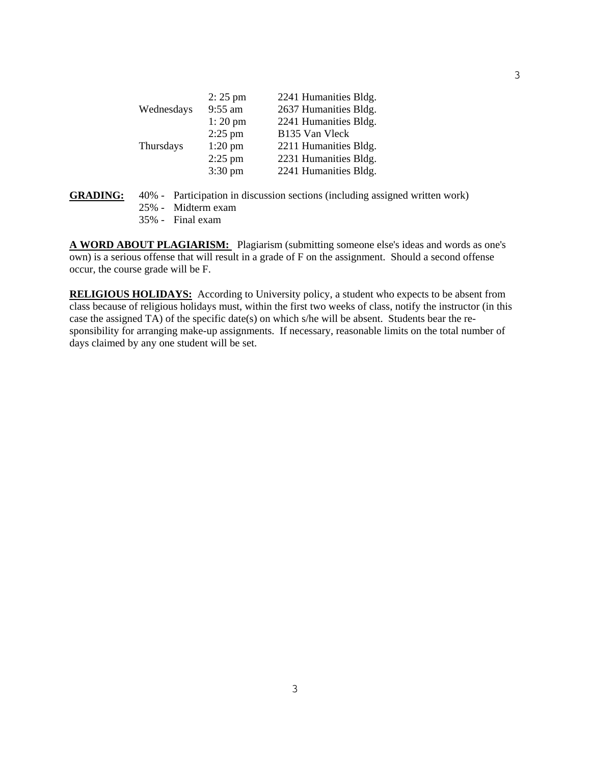|            | $2:25 \text{ pm}$ | 2241 Humanities Bldg. |
|------------|-------------------|-----------------------|
| Wednesdays | 9:55 am           | 2637 Humanities Bldg. |
|            | $1:20$ pm         | 2241 Humanities Bldg. |
|            | $2:25$ pm         | B135 Van Vleck        |
| Thursdays  | $1:20$ pm         | 2211 Humanities Bldg. |
|            | $2:25$ pm         | 2231 Humanities Bldg. |
|            | $3:30 \text{ pm}$ | 2241 Humanities Bldg. |

# **GRADING:** 40% - Participation in discussion sections (including assigned written work)

- 25% Midterm exam
- 35% Final exam

**A WORD ABOUT PLAGIARISM:** Plagiarism (submitting someone else's ideas and words as one's own) is a serious offense that will result in a grade of F on the assignment. Should a second offense occur, the course grade will be F.

**RELIGIOUS HOLIDAYS:** According to University policy, a student who expects to be absent from class because of religious holidays must, within the first two weeks of class, notify the instructor (in this case the assigned  $\overline{TA}$ ) of the specific date(s) on which s/he will be absent. Students bear the responsibility for arranging make-up assignments. If necessary, reasonable limits on the total number of days claimed by any one student will be set.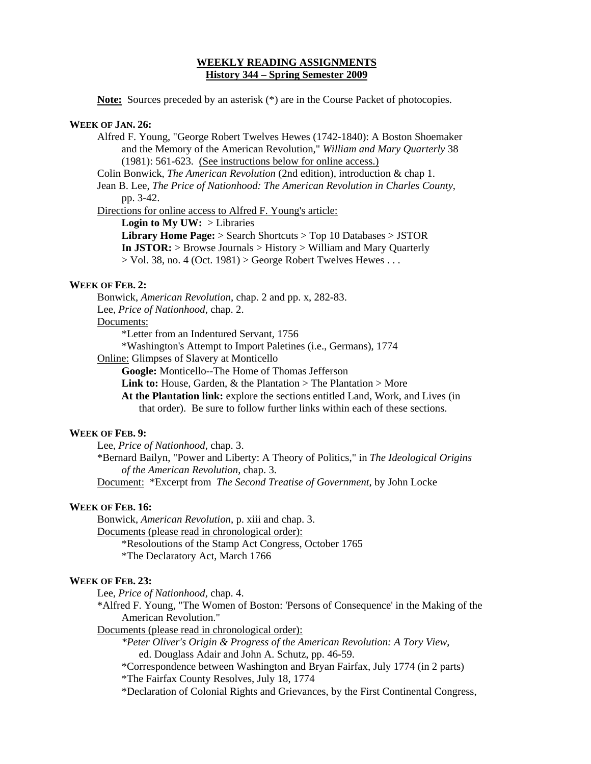# **WEEKLY READING ASSIGNMENTS History 344 – Spring Semester 2009**

**Note:** Sources preceded by an asterisk (\*) are in the Course Packet of photocopies.

### **WEEK OF JAN. 26:**

 Alfred F. Young, "George Robert Twelves Hewes (1742-1840): A Boston Shoemaker and the Memory of the American Revolution," *William and Mary Quarterly* 38 (1981): 561-623. (See instructions below for online access.)

Colin Bonwick, *The American Revolution* (2nd edition), introduction & chap 1.

 Jean B. Lee, *The Price of Nationhood: The American Revolution in Charles County*, pp. 3-42.

Directions for online access to Alfred F. Young's article:

**Login to My UW:** > Libraries

 **Library Home Page:** > Search Shortcuts > Top 10 Databases > JSTOR **In JSTOR:** > Browse Journals > History > William and Mary Quarterly  $>$  Vol. 38, no. 4 (Oct. 1981)  $>$  George Robert Twelves Hewes ...

# **WEEK OF FEB. 2:**

 Bonwick, *American Revolution*, chap. 2 and pp. x, 282-83. Lee, *Price of Nationhood,* chap. 2.

#### Documents:

\*Letter from an Indentured Servant, 1756

\*Washington's Attempt to Import Paletines (i.e., Germans), 1774

Online: Glimpses of Slavery at Monticello

**Google:** Monticello--The Home of Thomas Jefferson

Link to: House, Garden, & the Plantation > The Plantation > More

 **At the Plantation link:** explore the sections entitled Land, Work, and Lives (in that order). Be sure to follow further links within each of these sections.

### **WEEK OF FEB. 9:**

Lee, *Price of Nationhood,* chap. 3.

 \*Bernard Bailyn, "Power and Liberty: A Theory of Politics," in *The Ideological Origins of the American Revolution*, chap. 3.

Document: \*Excerpt from *The Second Treatise of Government*, by John Locke

# **WEEK OF FEB. 16:**

Bonwick, *American Revolution*, p. xiii and chap. 3. Documents (please read in chronological order): \*Resoloutions of the Stamp Act Congress, October 1765 \*The Declaratory Act, March 1766

#### **WEEK OF FEB. 23:**

Lee, *Price of Nationhood,* chap. 4.

 \*Alfred F. Young, "The Women of Boston: 'Persons of Consequence' in the Making of the American Revolution."

Documents (please read in chronological order):

*\*Peter Oliver's Origin & Progress of the American Revolution: A Tory View*, ed. Douglass Adair and John A. Schutz, pp. 46-59.

 \*Correspondence between Washington and Bryan Fairfax, July 1774 (in 2 parts) \*The Fairfax County Resolves, July 18, 1774

\*Declaration of Colonial Rights and Grievances, by the First Continental Congress,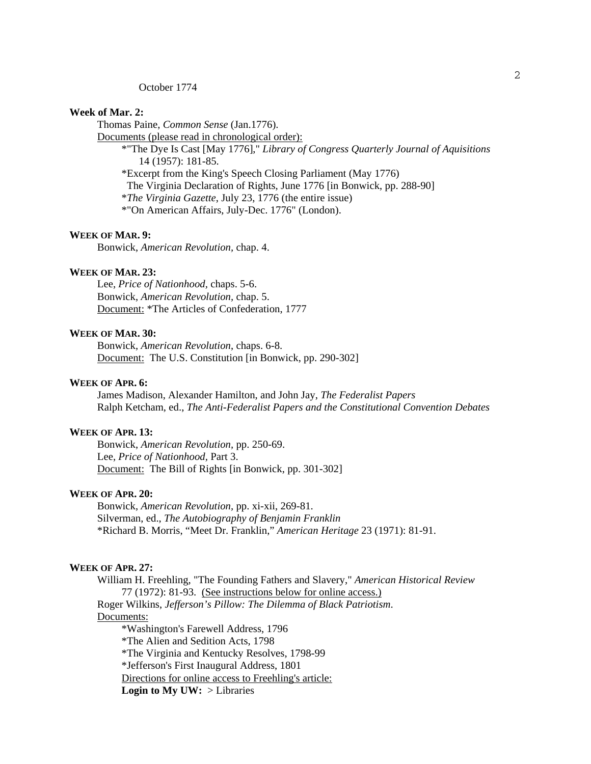#### October 1774

# **Week of Mar. 2:**

Thomas Paine, *Common Sense* (Jan.1776).

Documents (please read in chronological order):

 \*"The Dye Is Cast [May 1776]," *Library of Congress Quarterly Journal of Aquisitions* 14 (1957): 181-85. \*Excerpt from the King's Speech Closing Parliament (May 1776)

The Virginia Declaration of Rights, June 1776 [in Bonwick, pp. 288-90]

\**The Virginia Gazette*, July 23, 1776 (the entire issue)

\*"On American Affairs, July-Dec. 1776" (London).

## **WEEK OF MAR. 9:**

Bonwick, *American Revolution,* chap. 4.

#### **WEEK OF MAR. 23:**

Lee, *Price of Nationhood,* chaps. 5-6. Bonwick, *American Revolution,* chap. 5. Document: \*The Articles of Confederation, 1777

# **WEEK OF MAR. 30:**

Bonwick, *American Revolution*, chaps. 6-8. Document: The U.S. Constitution [in Bonwick, pp. 290-302]

# **WEEK OF APR. 6:**

 James Madison, Alexander Hamilton, and John Jay, *The Federalist Papers* Ralph Ketcham, ed., *The Anti-Federalist Papers and the Constitutional Convention Debates*

# **WEEK OF APR. 13:**

 Bonwick, *American Revolution,* pp. 250-69. Lee, *Price of Nationhood,* Part 3. Document: The Bill of Rights [in Bonwick, pp. 301-302]

### **WEEK OF APR. 20:**

 Bonwick, *American Revolution,* pp. xi-xii, 269-81. Silverman, ed., *The Autobiography of Benjamin Franklin* \*Richard B. Morris, "Meet Dr. Franklin," *American Heritage* 23 (1971): 81-91.

### **WEEK OF APR. 27:**

William H. Freehling, "The Founding Fathers and Slavery," *American Historical Review* 77 (1972): 81-93. (See instructions below for online access.)

 Roger Wilkins, *Jefferson's Pillow: The Dilemma of Black Patriotism*. Documents: \*Washington's Farewell Address, 1796

 \*The Alien and Sedition Acts, 1798 \*The Virginia and Kentucky Resolves, 1798-99 \*Jefferson's First Inaugural Address, 1801 Directions for online access to Freehling's article: **Login to My UW:** > Libraries